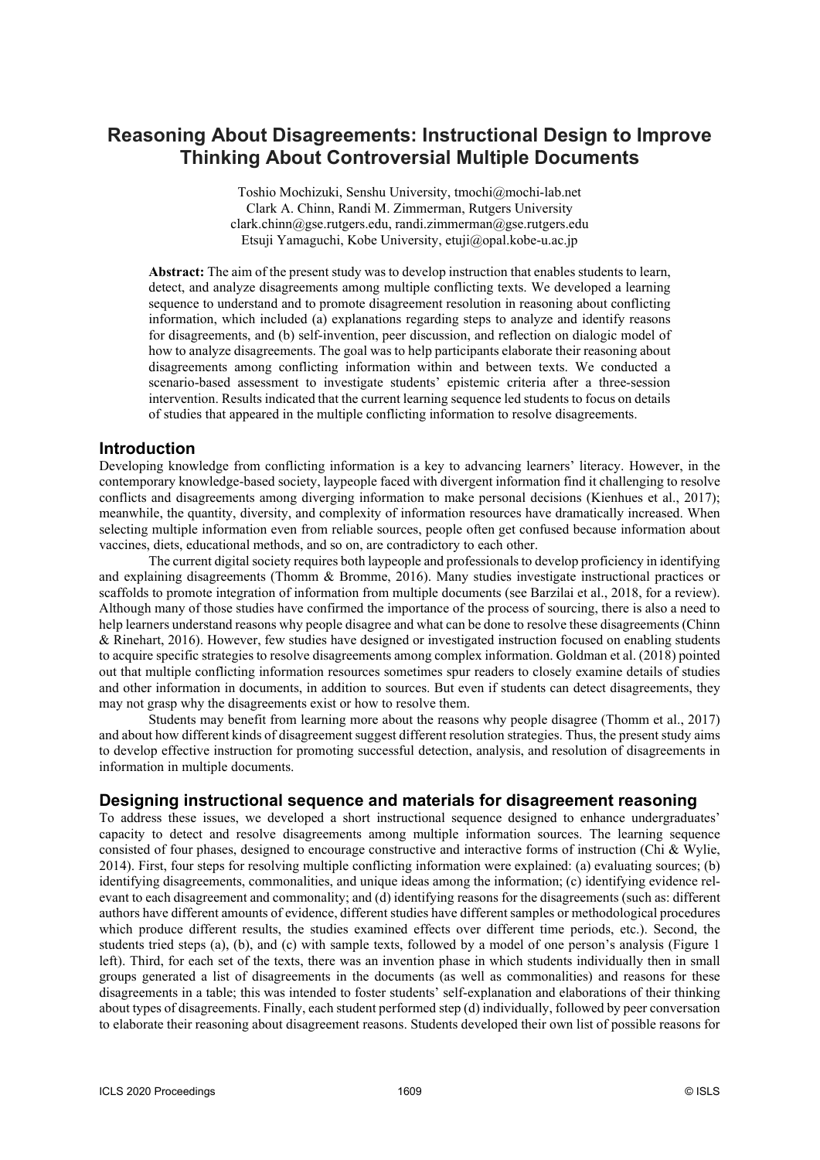# **Reasoning About Disagreements: Instructional Design to Improve Thinking About Controversial Multiple Documents**

Toshio Mochizuki, Senshu University, tmochi@mochi-lab.net Clark A. Chinn, Randi M. Zimmerman, Rutgers University clark.chinn@gse.rutgers.edu, randi.zimmerman@gse.rutgers.edu Etsuji Yamaguchi, Kobe University, etuji@opal.kobe-u.ac.jp

**Abstract:** The aim of the present study was to develop instruction that enables students to learn, detect, and analyze disagreements among multiple conflicting texts. We developed a learning sequence to understand and to promote disagreement resolution in reasoning about conflicting information, which included (a) explanations regarding steps to analyze and identify reasons for disagreements, and (b) self-invention, peer discussion, and reflection on dialogic model of how to analyze disagreements. The goal was to help participants elaborate their reasoning about disagreements among conflicting information within and between texts. We conducted a scenario-based assessment to investigate students' epistemic criteria after a three-session intervention. Results indicated that the current learning sequence led students to focus on details of studies that appeared in the multiple conflicting information to resolve disagreements.

#### **Introduction**

Developing knowledge from conflicting information is a key to advancing learners' literacy. However, in the contemporary knowledge-based society, laypeople faced with divergent information find it challenging to resolve conflicts and disagreements among diverging information to make personal decisions (Kienhues et al., 2017); meanwhile, the quantity, diversity, and complexity of information resources have dramatically increased. When selecting multiple information even from reliable sources, people often get confused because information about vaccines, diets, educational methods, and so on, are contradictory to each other.

The current digital society requires both laypeople and professionals to develop proficiency in identifying and explaining disagreements (Thomm & Bromme, 2016). Many studies investigate instructional practices or scaffolds to promote integration of information from multiple documents (see Barzilai et al., 2018, for a review). Although many of those studies have confirmed the importance of the process of sourcing, there is also a need to help learners understand reasons why people disagree and what can be done to resolve these disagreements (Chinn & Rinehart, 2016). However, few studies have designed or investigated instruction focused on enabling students to acquire specific strategies to resolve disagreements among complex information. Goldman et al. (2018) pointed out that multiple conflicting information resources sometimes spur readers to closely examine details of studies and other information in documents, in addition to sources. But even if students can detect disagreements, they may not grasp why the disagreements exist or how to resolve them.

Students may benefit from learning more about the reasons why people disagree (Thomm et al., 2017) and about how different kinds of disagreement suggest different resolution strategies. Thus, the present study aims to develop effective instruction for promoting successful detection, analysis, and resolution of disagreements in information in multiple documents.

#### **Designing instructional sequence and materials for disagreement reasoning**

To address these issues, we developed a short instructional sequence designed to enhance undergraduates' capacity to detect and resolve disagreements among multiple information sources. The learning sequence consisted of four phases, designed to encourage constructive and interactive forms of instruction (Chi & Wylie, 2014). First, four steps for resolving multiple conflicting information were explained: (a) evaluating sources; (b) identifying disagreements, commonalities, and unique ideas among the information; (c) identifying evidence relevant to each disagreement and commonality; and (d) identifying reasons for the disagreements (such as: different authors have different amounts of evidence, different studies have different samples or methodological procedures which produce different results, the studies examined effects over different time periods, etc.). Second, the students tried steps (a), (b), and (c) with sample texts, followed by a model of one person's analysis (Figure 1 left). Third, for each set of the texts, there was an invention phase in which students individually then in small groups generated a list of disagreements in the documents (as well as commonalities) and reasons for these disagreements in a table; this was intended to foster students' self-explanation and elaborations of their thinking about types of disagreements. Finally, each student performed step (d) individually, followed by peer conversation to elaborate their reasoning about disagreement reasons. Students developed their own list of possible reasons for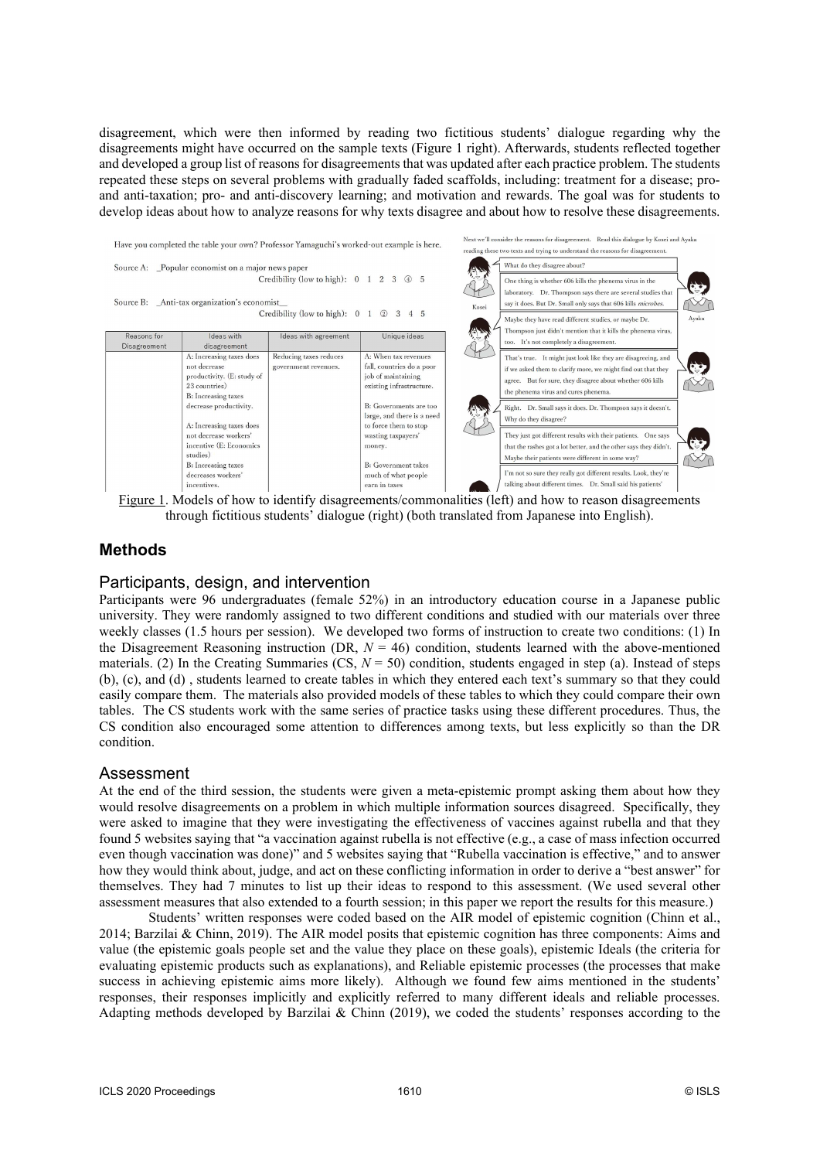disagreement, which were then informed by reading two fictitious students' dialogue regarding why the disagreements might have occurred on the sample texts (Figure 1 right). Afterwards, students reflected together and developed a group list of reasons for disagreements that was updated after each practice problem. The students repeated these steps on several problems with gradually faded scaffolds, including: treatment for a disease; proand anti-taxation; pro- and anti-discovery learning; and motivation and rewards. The goal was for students to develop ideas about how to analyze reasons for why texts disagree and about how to resolve these disagreements.



Figure 1. Models of how to identify disagreements/commonalities (left) and how to reason disagreements through fictitious students' dialogue (right) (both translated from Japanese into English).

# **Methods**

#### Participants, design, and intervention

Participants were 96 undergraduates (female 52%) in an introductory education course in a Japanese public university. They were randomly assigned to two different conditions and studied with our materials over three weekly classes (1.5 hours per session). We developed two forms of instruction to create two conditions: (1) In the Disagreement Reasoning instruction (DR,  $N = 46$ ) condition, students learned with the above-mentioned materials. (2) In the Creating Summaries (CS,  $N = 50$ ) condition, students engaged in step (a). Instead of steps (b), (c), and (d) , students learned to create tables in which they entered each text's summary so that they could easily compare them. The materials also provided models of these tables to which they could compare their own tables. The CS students work with the same series of practice tasks using these different procedures. Thus, the CS condition also encouraged some attention to differences among texts, but less explicitly so than the DR condition.

## Assessment

At the end of the third session, the students were given a meta-epistemic prompt asking them about how they would resolve disagreements on a problem in which multiple information sources disagreed. Specifically, they were asked to imagine that they were investigating the effectiveness of vaccines against rubella and that they found 5 websites saying that "a vaccination against rubella is not effective (e.g., a case of mass infection occurred even though vaccination was done)" and 5 websites saying that "Rubella vaccination is effective," and to answer how they would think about, judge, and act on these conflicting information in order to derive a "best answer" for themselves. They had 7 minutes to list up their ideas to respond to this assessment. (We used several other assessment measures that also extended to a fourth session; in this paper we report the results for this measure.)

Students' written responses were coded based on the AIR model of epistemic cognition (Chinn et al., 2014; Barzilai & Chinn, 2019). The AIR model posits that epistemic cognition has three components: Aims and value (the epistemic goals people set and the value they place on these goals), epistemic Ideals (the criteria for evaluating epistemic products such as explanations), and Reliable epistemic processes (the processes that make success in achieving epistemic aims more likely). Although we found few aims mentioned in the students' responses, their responses implicitly and explicitly referred to many different ideals and reliable processes. Adapting methods developed by Barzilai & Chinn (2019), we coded the students' responses according to the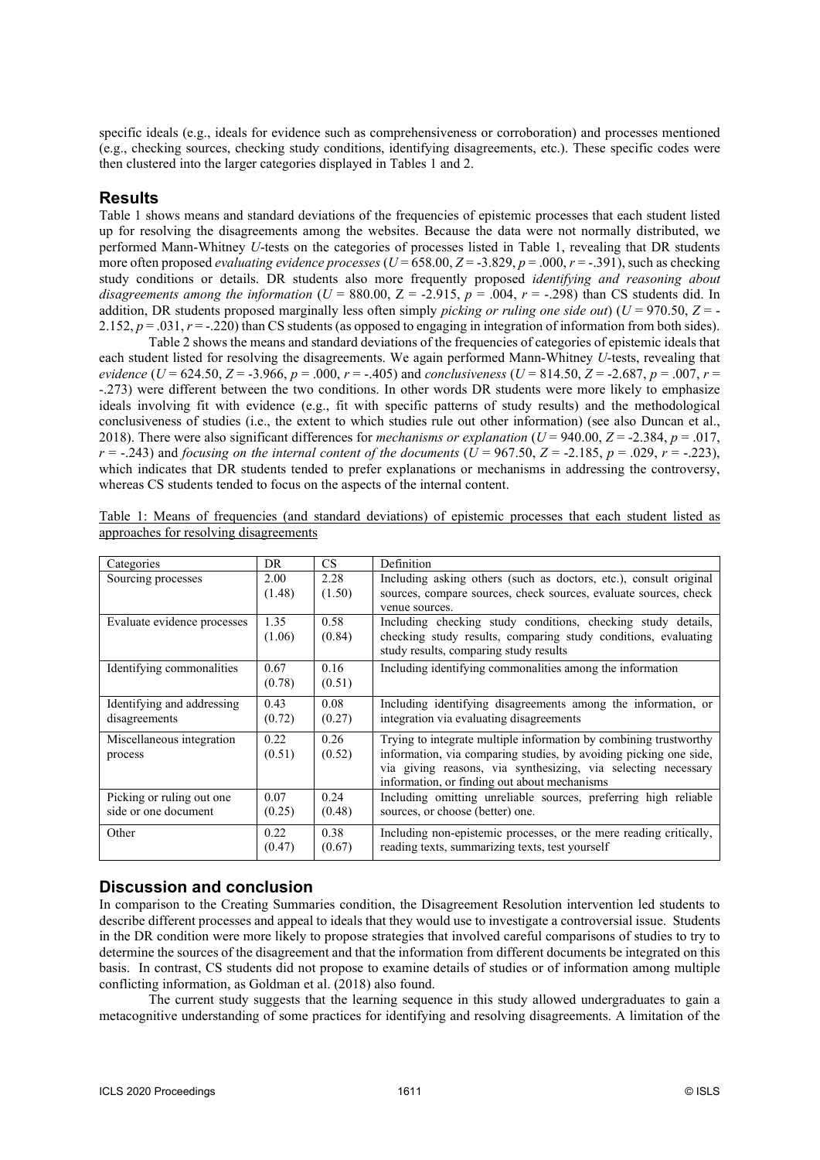specific ideals (e.g., ideals for evidence such as comprehensiveness or corroboration) and processes mentioned (e.g., checking sources, checking study conditions, identifying disagreements, etc.). These specific codes were then clustered into the larger categories displayed in Tables 1 and 2.

#### **Results**

Table 1 shows means and standard deviations of the frequencies of epistemic processes that each student listed up for resolving the disagreements among the websites. Because the data were not normally distributed, we performed Mann-Whitney *U*-tests on the categories of processes listed in Table 1, revealing that DR students more often proposed *evaluating evidence processes* ( $U = 658.00$ ,  $Z = -3.829$ ,  $p = .000$ ,  $r = -.391$ ), such as checking study conditions or details. DR students also more frequently proposed *identifying and reasoning about disagreements among the information* ( $U = 880.00$ ,  $Z = -2.915$ ,  $p = .004$ ,  $r = -.298$ ) than CS students did. In addition, DR students proposed marginally less often simply *picking or ruling one side out*) ( $U = 970.50$ ,  $Z = -1$ 2.152,  $p = .031$ ,  $r = .220$ ) than CS students (as opposed to engaging in integration of information from both sides).

Table 2 shows the means and standard deviations of the frequencies of categories of epistemic ideals that each student listed for resolving the disagreements. We again performed Mann-Whitney *U*-tests, revealing that *evidence* (*U* = 624.50, *Z* = -3.966, *p* = .000, *r* = -.405) and *conclusiveness* (*U* = 814.50, *Z* = -2.687, *p* = .007, *r* = -.273) were different between the two conditions. In other words DR students were more likely to emphasize ideals involving fit with evidence (e.g., fit with specific patterns of study results) and the methodological conclusiveness of studies (i.e., the extent to which studies rule out other information) (see also Duncan et al., 2018). There were also significant differences for *mechanisms or explanation* ( $U = 940.00$ ,  $Z = -2.384$ ,  $p = .017$ , *r* = -.243) and *focusing on the internal content of the documents*  $(\hat{U} = 967.50, Z = -2.185, p = .029, r = -.223)$ , which indicates that DR students tended to prefer explanations or mechanisms in addressing the controversy, whereas CS students tended to focus on the aspects of the internal content.

| Categories                  | DR.    | <b>CS</b> | Definition                                                         |
|-----------------------------|--------|-----------|--------------------------------------------------------------------|
| Sourcing processes          | 2.00   | 2.28      | Including asking others (such as doctors, etc.), consult original  |
|                             | (1.48) | (1.50)    | sources, compare sources, check sources, evaluate sources, check   |
|                             |        |           | venue sources.                                                     |
| Evaluate evidence processes | 1.35   | 0.58      | Including checking study conditions, checking study details,       |
|                             | (1.06) | (0.84)    | checking study results, comparing study conditions, evaluating     |
|                             |        |           | study results, comparing study results                             |
| Identifying commonalities   | 0.67   | 0.16      | Including identifying commonalities among the information          |
|                             | (0.78) | (0.51)    |                                                                    |
| Identifying and addressing  | 0.43   | 0.08      | Including identifying disagreements among the information, or      |
| disagreements               | (0.72) | (0.27)    | integration via evaluating disagreements                           |
| Miscellaneous integration   | 0.22   | 0.26      | Trying to integrate multiple information by combining trustworthy  |
| process                     | (0.51) | (0.52)    | information, via comparing studies, by avoiding picking one side,  |
|                             |        |           | via giving reasons, via synthesizing, via selecting necessary      |
|                             |        |           | information, or finding out about mechanisms                       |
| Picking or ruling out one.  | 0.07   | 0.24      | Including omitting unreliable sources, preferring high reliable    |
| side or one document        | (0.25) | (0.48)    | sources, or choose (better) one.                                   |
| Other                       | 0.22   | 0.38      | Including non-epistemic processes, or the mere reading critically, |
|                             | (0.47) | (0.67)    | reading texts, summarizing texts, test yourself                    |

Table 1: Means of frequencies (and standard deviations) of epistemic processes that each student listed as approaches for resolving disagreements

## **Discussion and conclusion**

In comparison to the Creating Summaries condition, the Disagreement Resolution intervention led students to describe different processes and appeal to ideals that they would use to investigate a controversial issue. Students in the DR condition were more likely to propose strategies that involved careful comparisons of studies to try to determine the sources of the disagreement and that the information from different documents be integrated on this basis. In contrast, CS students did not propose to examine details of studies or of information among multiple conflicting information, as Goldman et al. (2018) also found.

The current study suggests that the learning sequence in this study allowed undergraduates to gain a metacognitive understanding of some practices for identifying and resolving disagreements. A limitation of the